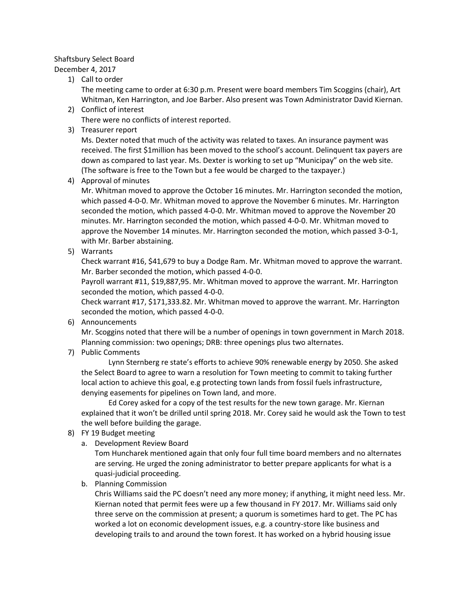## Shaftsbury Select Board

## December 4, 2017

1) Call to order

The meeting came to order at 6:30 p.m. Present were board members Tim Scoggins (chair), Art Whitman, Ken Harrington, and Joe Barber. Also present was Town Administrator David Kiernan.

- 2) Conflict of interest There were no conflicts of interest reported.
- 3) Treasurer report

Ms. Dexter noted that much of the activity was related to taxes. An insurance payment was received. The first \$1million has been moved to the school's account. Delinquent tax payers are down as compared to last year. Ms. Dexter is working to set up "Municipay" on the web site. (The software is free to the Town but a fee would be charged to the taxpayer.)

4) Approval of minutes

Mr. Whitman moved to approve the October 16 minutes. Mr. Harrington seconded the motion, which passed 4-0-0. Mr. Whitman moved to approve the November 6 minutes. Mr. Harrington seconded the motion, which passed 4-0-0. Mr. Whitman moved to approve the November 20 minutes. Mr. Harrington seconded the motion, which passed 4-0-0. Mr. Whitman moved to approve the November 14 minutes. Mr. Harrington seconded the motion, which passed 3-0-1, with Mr. Barber abstaining.

5) Warrants

Check warrant #16, \$41,679 to buy a Dodge Ram. Mr. Whitman moved to approve the warrant. Mr. Barber seconded the motion, which passed 4-0-0.

Payroll warrant #11, \$19,887,95. Mr. Whitman moved to approve the warrant. Mr. Harrington seconded the motion, which passed 4-0-0.

Check warrant #17, \$171,333.82. Mr. Whitman moved to approve the warrant. Mr. Harrington seconded the motion, which passed 4-0-0.

6) Announcements

Mr. Scoggins noted that there will be a number of openings in town government in March 2018. Planning commission: two openings; DRB: three openings plus two alternates.

7) Public Comments

Lynn Sternberg re state's efforts to achieve 90% renewable energy by 2050. She asked the Select Board to agree to warn a resolution for Town meeting to commit to taking further local action to achieve this goal, e.g protecting town lands from fossil fuels infrastructure, denying easements for pipelines on Town land, and more.

Ed Corey asked for a copy of the test results for the new town garage. Mr. Kiernan explained that it won't be drilled until spring 2018. Mr. Corey said he would ask the Town to test the well before building the garage.

- 8) FY 19 Budget meeting
	- a. Development Review Board

Tom Huncharek mentioned again that only four full time board members and no alternates are serving. He urged the zoning administrator to better prepare applicants for what is a quasi-judicial proceeding.

b. Planning Commission

Chris Williams said the PC doesn't need any more money; if anything, it might need less. Mr. Kiernan noted that permit fees were up a few thousand in FY 2017. Mr. Williams said only three serve on the commission at present; a quorum is sometimes hard to get. The PC has worked a lot on economic development issues, e.g. a country-store like business and developing trails to and around the town forest. It has worked on a hybrid housing issue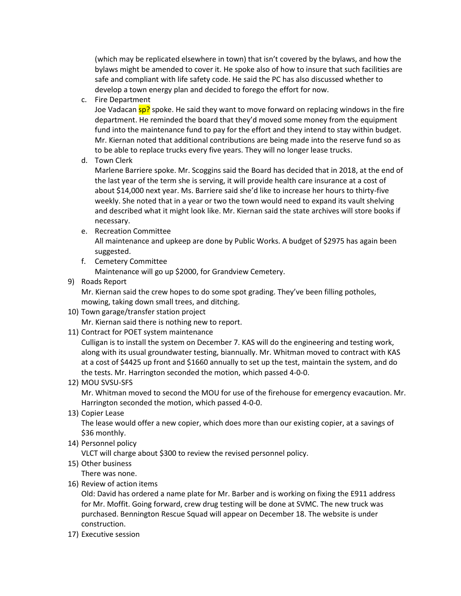(which may be replicated elsewhere in town) that isn't covered by the bylaws, and how the bylaws might be amended to cover it. He spoke also of how to insure that such facilities are safe and compliant with life safety code. He said the PC has also discussed whether to develop a town energy plan and decided to forego the effort for now.

c. Fire Department

Joe Vadacan sp? spoke. He said they want to move forward on replacing windows in the fire department. He reminded the board that they'd moved some money from the equipment fund into the maintenance fund to pay for the effort and they intend to stay within budget. Mr. Kiernan noted that additional contributions are being made into the reserve fund so as to be able to replace trucks every five years. They will no longer lease trucks.

d. Town Clerk

Marlene Barriere spoke. Mr. Scoggins said the Board has decided that in 2018, at the end of the last year of the term she is serving, it will provide health care insurance at a cost of about \$14,000 next year. Ms. Barriere said she'd like to increase her hours to thirty-five weekly. She noted that in a year or two the town would need to expand its vault shelving and described what it might look like. Mr. Kiernan said the state archives will store books if necessary.

e. Recreation Committee

All maintenance and upkeep are done by Public Works. A budget of \$2975 has again been suggested.

- f. Cemetery Committee Maintenance will go up \$2000, for Grandview Cemetery.
- 9) Roads Report

Mr. Kiernan said the crew hopes to do some spot grading. They've been filling potholes, mowing, taking down small trees, and ditching.

- 10) Town garage/transfer station project Mr. Kiernan said there is nothing new to report.
- 11) Contract for POET system maintenance

Culligan is to install the system on December 7. KAS will do the engineering and testing work, along with its usual groundwater testing, biannually. Mr. Whitman moved to contract with KAS at a cost of \$4425 up front and \$1660 annually to set up the test, maintain the system, and do the tests. Mr. Harrington seconded the motion, which passed 4-0-0.

12) MOU SVSU-SFS

Mr. Whitman moved to second the MOU for use of the firehouse for emergency evacaution. Mr. Harrington seconded the motion, which passed 4-0-0.

13) Copier Lease

The lease would offer a new copier, which does more than our existing copier, at a savings of \$36 monthly.

14) Personnel policy

VLCT will charge about \$300 to review the revised personnel policy.

15) Other business

There was none.

16) Review of action items

Old: David has ordered a name plate for Mr. Barber and is working on fixing the E911 address for Mr. Moffit. Going forward, crew drug testing will be done at SVMC. The new truck was purchased. Bennington Rescue Squad will appear on December 18. The website is under construction.

17) Executive session